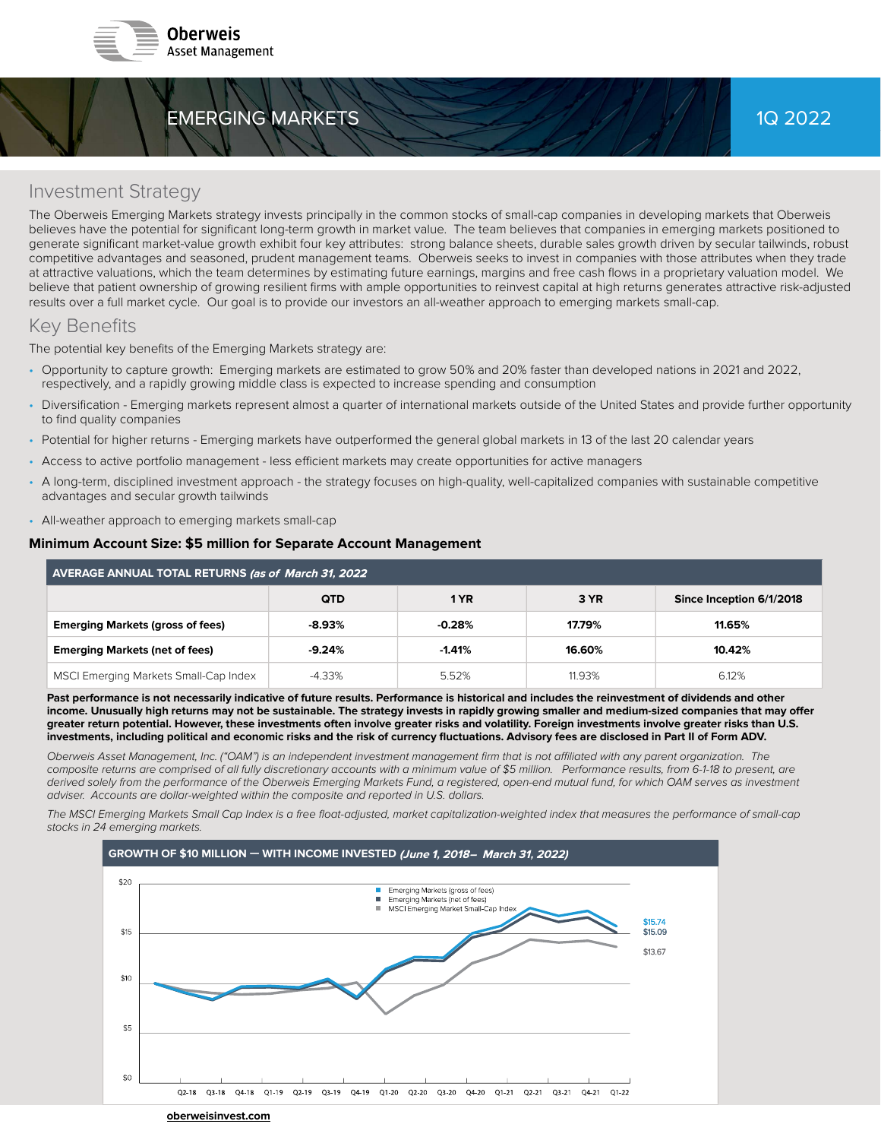



The Oberweis Emerging Markets strategy invests principally in the common stocks of small-cap companies in developing markets that Oberweis believes have the potential for significant long-term growth in market value. The team believes that companies in emerging markets positioned to generate significant market-value growth exhibit four key attributes: strong balance sheets, durable sales growth driven by secular tailwinds, robust competitive advantages and seasoned, prudent management teams. Oberweis seeks to invest in companies with those attributes when they trade at attractive valuations, which the team determines by estimating future earnings, margins and free cash flows in a proprietary valuation model. We believe that patient ownership of growing resilient firms with ample opportunities to reinvest capital at high returns generates attractive risk-adjusted results over a full market cycle. Our goal is to provide our investors an all-weather approach to emerging markets small-cap.

## Key Benefits

The potential key benefits of the Emerging Markets strategy are:

- Opportunity to capture growth: Emerging markets are estimated to grow 50% and 20% faster than developed nations in 2021 and 2022, respectively, and a rapidly growing middle class is expected to increase spending and consumption
- Diversification Emerging markets represent almost a quarter of international markets outside of the United States and provide further opportunity to find quality companies
- Potential for higher returns Emerging markets have outperformed the general global markets in 13 of the last 20 calendar years
- Access to active portfolio management less efficient markets may create opportunities for active managers
- A long-term, disciplined investment approach the strategy focuses on high-quality, well-capitalized companies with sustainable competitive advantages and secular growth tailwinds
- All-weather approach to emerging markets small-cap

### Minimum Account Size: \$5 million for Separate Account Management

| AVERAGE ANNUAL TOTAL RETURNS (as of March 31, 2022 |            |          |        |                          |  |  |
|----------------------------------------------------|------------|----------|--------|--------------------------|--|--|
|                                                    | <b>QTD</b> | 1 YR     | 3 YR   | Since Inception 6/1/2018 |  |  |
| <b>Emerging Markets (gross of fees)</b>            | $-8.93%$   | $-0.28%$ | 17.79% | 11.65%                   |  |  |
| <b>Emerging Markets (net of fees)</b>              | $-9.24%$   | $-1.41%$ | 16.60% | 10.42%                   |  |  |
| MSCI Emerging Markets Small-Cap Index              | $-4.33\%$  | 5.52%    | 11.93% | 6.12%                    |  |  |

Past performance is not necessarily indicative of future results. Performance is historical and includes the reinvestment of dividends and other income. Unusually high returns may not be sustainable. The strategy invests in rapidly growing smaller and medium-sized companies that may offer greater return potential. However, these investments often involve greater risks and volatility. Foreign investments involve greater risks than U.S. investments, including political and economic risks and the risk of currency fluctuations. Advisory fees are disclosed in Part II of Form ADV.

Oberweis Asset Management, Inc. ("OAM") is an independent investment management firm that is not affiliated with any parent organization. The composite returns are comprised of all fully discretionary accounts with a minimum value of \$5 million. Performance results, from 6-1-18 to present, are derived solely from the performance of the Oberweis Emerging Markets Fund, a registered, open-end mutual fund, for which OAM serves as investment adviser. Accounts are dollar-weighted within the composite and reported in U.S. dollars.

The MSCI Emerging Markets Small Cap Index is a free float-adjusted, market capitalization-weighted index that measures the performance of small-cap stocks in 24 emerging markets.



oberweisinvest.com